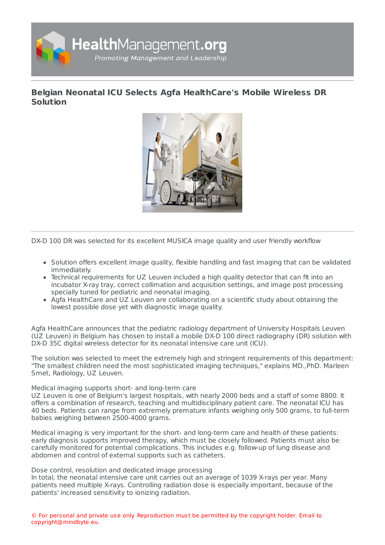

## **Belgian Neonatal ICU Selects Agfa [HealthCare's](https://healthmanagement.org/s/belgian-neonatal-icu-selects-agfa-healthcare-s-mobile-wireless-dr-solution) Mobile Wireless DR Solution**



DX-D 100 DR was selected for its excellent MUSICA image quality and user friendly workflow

- Solution offers excellent image quality, flexible handling and fast imaging that can be validated immediately.
- Technical requirements for UZ Leuven included a high quality detector that can fit into an incubator X-ray tray, correct collimation and acquisition settings, and image post processing specially tuned for pediatric and neonatal imaging.
- Agfa HealthCare and UZ Leuven are collaborating on a scientific study about obtaining the lowest possible dose yet with diagnostic image quality.

Agfa HealthCare announces that the pediatric radiology department of University Hospitals Leuven (UZ Leuven) in Belgium has chosen to install a mobile DX-D 100 direct radiography (DR) solution with DX-D 35C digital wireless detector for its neonatal intensive care unit (ICU).

The solution was selected to meet the extremely high and stringent requirements of this department: "The smallest children need the most sophisticated imaging techniques," explains MD.,PhD. Marleen Smet, Radiology, UZ Leuven.

## Medical imaging supports short- and long-term care

UZ Leuven is one of Belgium's largest hospitals, with nearly 2000 beds and a staff of some 8800. It offers a combination of research, teaching and multidisciplinary patient care. The neonatal ICU has 40 beds. Patients can range from extremely premature infants weighing only 500 grams, to full-term babies weighing between 2500-4000 grams.

Medical imaging is very important for the short- and long-term care and health of these patients: early diagnosis supports improved therapy, which must be closely followed. Patients must also be carefully monitored for potential complications. This includes e.g. follow-up of lung disease and abdomen and control of external supports such as catheters.

Dose control, resolution and dedicated image processing

In total, the neonatal intensive care unit carries out an average of 1039 X-rays per year. Many patients need multiple X-rays. Controlling radiation dose is especially important, because of the patients' increased sensitivity to ionizing radiation.